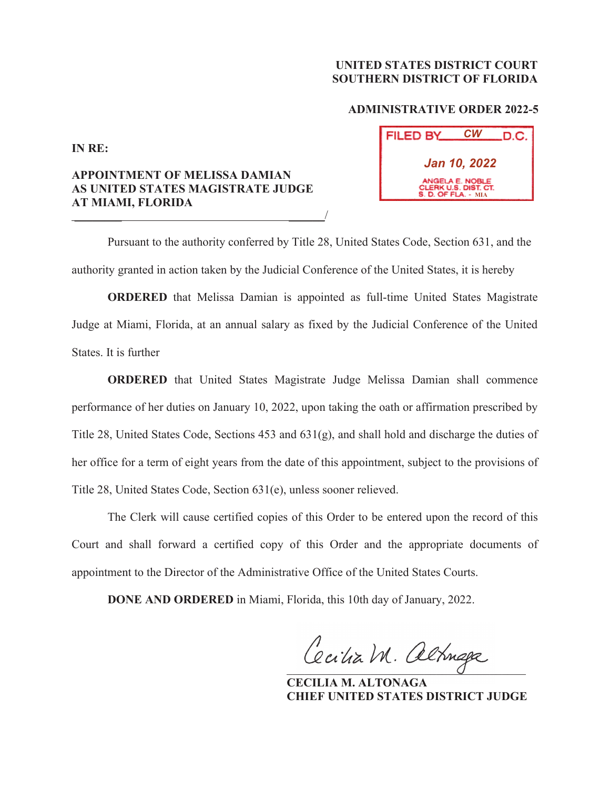## **UNITED STATES DISTRICT COURT SOUTHERN DISTRICT OF FLORIDA**

## **ADMINISTRATIVE ORDER 2022-5**

**IN RE:**

## **APPOINTMENT OF MELISSA DAMIAN AS UNITED STATES MAGISTRATE JUDGE AT MIAMI, FLORIDA**  \_\_\_\_\_\_\_\_ \_\_\_\_\_\_/

| <b>FILED BY</b>                                                       | СW | .D.C. |
|-----------------------------------------------------------------------|----|-------|
| <b>Jan 10, 2022</b>                                                   |    |       |
| ANGELA E. NOBLE<br>CLERK U.S. DIST. CT.<br><b>S. D. OF FLA. - MIA</b> |    |       |

 Pursuant to the authority conferred by Title 28, United States Code, Section 631, and the authority granted in action taken by the Judicial Conference of the United States, it is hereby

**ORDERED** that Melissa Damian is appointed as full-time United States Magistrate Judge at Miami, Florida, at an annual salary as fixed by the Judicial Conference of the United States. It is further

**ORDERED** that United States Magistrate Judge Melissa Damian shall commence performance of her duties on January 10, 2022, upon taking the oath or affirmation prescribed by Title 28, United States Code, Sections 453 and 631(g), and shall hold and discharge the duties of her office for a term of eight years from the date of this appointment, subject to the provisions of Title 28, United States Code, Section 631(e), unless sooner relieved.

 The Clerk will cause certified copies of this Order to be entered upon the record of this Court and shall forward a certified copy of this Order and the appropriate documents of appointment to the Director of the Administrative Office of the United States Courts.

**DONE AND ORDERED** in Miami, Florida, this 10th day of January, 2022.

Cecilia M. altinga

 **CECILIA M. ALTONAGA CHIEF UNITED STATES DISTRICT JUDGE**